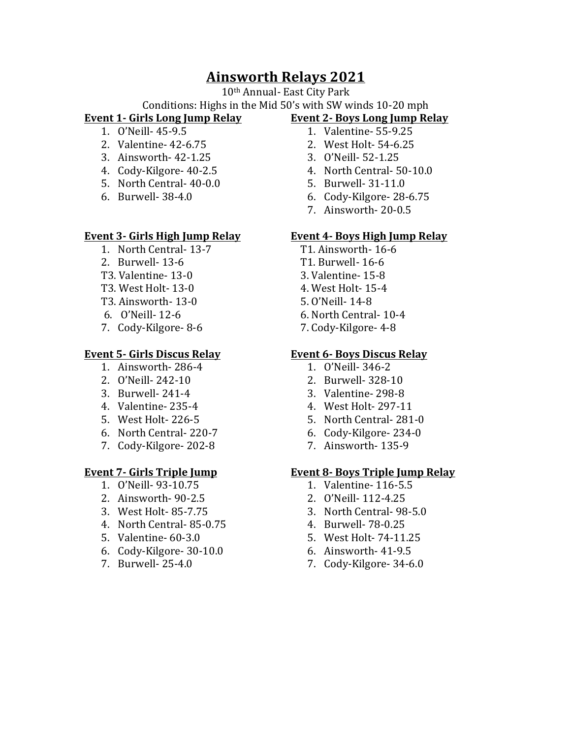# **Ainsworth Relays 2021**

10<sup>th</sup> Annual- East City Park

### Conditions: Highs in the Mid 50's with SW winds 10-20 mph **Event 1- Girls Long Jump Relay**

- 1. O'Neill- 45-9.5
- 2. Valentine- 42-6.75
- 3. Ainsworth- 42-1.25
- 4. Cody-Kilgore- 40-2.5
- 5. North Central- 40-0.0
- 6. Burwell- 38-4.0

## **Event 3- Girls High Jump Relay**

- 1. North Central- 13-7
- 2. Burwell- 13-6
- T3. Valentine- 13-0
- T3. West Holt- 13-0
- T3. Ainsworth- 13-0
- 6. O'Neill- 12-6
- 7. Cody-Kilgore- 8-6

## **Event 5- Girls Discus Relay**

- 1. Ainsworth- 286-4
- 2. O'Neill- 242-10
- 3. Burwell- 241-4
- 4. Valentine- 235-4
- 5. West Holt- 226-5
- 6. North Central- 220-7
- 7. Cody-Kilgore- 202-8

# **Event 7- Girls Triple Jump**

- 1. O'Neill- 93-10.75
- 2. Ainsworth- 90-2.5
- 3. West Holt- 85-7.75
- 4. North Central- 85-0.75
- 5. Valentine- 60-3.0
- 6. Cody-Kilgore- 30-10.0
- 7. Burwell- 25-4.0
- **Event 2- Boys Long Jump Relay** 1. Valentine- 55-9.25
	- 2. West Holt- 54-6.25
	- 3. O'Neill- 52-1.25
	- 4. North Central- 50-10.0
	- 5. Burwell- 31-11.0
	- 6. Cody-Kilgore- 28-6.75
	- 7. Ainsworth- 20-0.5

# **Event 4- Boys High Jump Relay**

- T1. Ainsworth- 16-6
- T1. Burwell- 16-6
- 3. Valentine- 15-8
- 4. West Holt- 15-4
- 5. O'Neill- 14-8
- 6. North Central- 10-4
- 7. Cody-Kilgore- 4-8

## **Event 6- Boys Discus Relay**

- 1. O'Neill- 346-2
- 2. Burwell- 328-10
- 3. Valentine- 298-8
- 4. West Holt- 297-11
- 5. North Central- 281-0
- 6. Cody-Kilgore- 234-0
- 7. Ainsworth- 135-9

## **Event 8- Boys Triple Jump Relay**

- 1. Valentine- 116-5.5
- 2. O'Neill- 112-4.25
- 3. North Central- 98-5.0
- 4. Burwell- 78-0.25
- 5. West Holt- 74-11.25
- 6. Ainsworth- 41-9.5
- 7. Cody-Kilgore- 34-6.0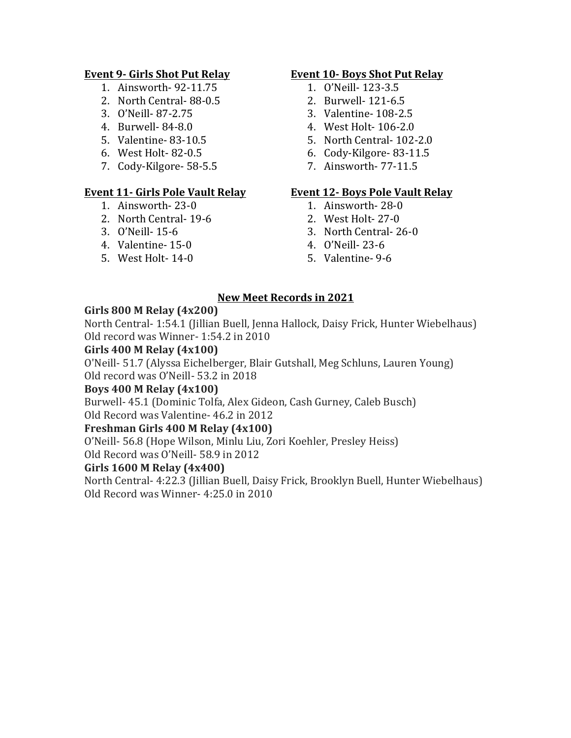# **Event 9- Girls Shot Put Relay**

- 1. Ainsworth- 92-11.75
- 2. North Central- 88-0.5
- 3. O'Neill- 87-2.75
- 4. Burwell- 84-8.0
- 5. Valentine- 83-10.5
- 6. West Holt- 82-0.5
- 7. Cody-Kilgore- 58-5.5

## **Event 11- Girls Pole Vault Relay**

- 1. Ainsworth- 23-0
- 2. North Central- 19-6
- 3. O'Neill- 15-6
- 4. Valentine- 15-0
- 5. West Holt- 14-0

## **Event 10- Boys Shot Put Relay**

- 1. O'Neill- 123-3.5
- 2. Burwell- 121-6.5
- 3. Valentine- 108-2.5
- 4. West Holt- 106-2.0
- 5. North Central- 102-2.0
- 6. Cody-Kilgore- 83-11.5
- 7. Ainsworth- 77-11.5

### **Event 12- Boys Pole Vault Relay**

- 1. Ainsworth- 28-0
- 2. West Holt- 27-0
- 3. North Central- 26-0
- 4. O'Neill- 23-6
- 5. Valentine- 9-6

## **New Meet Records in 2021**

# **Girls 800 M Relay (4x200)**

North Central- 1:54.1 (Jillian Buell, Jenna Hallock, Daisy Frick, Hunter Wiebelhaus) Old record was Winner- 1:54.2 in 2010

# **Girls 400 M Relay (4x100)**

O'Neill- 51.7 (Alyssa Eichelberger, Blair Gutshall, Meg Schluns, Lauren Young) Old record was O'Neill- 53.2 in 2018

## **Boys 400 M Relay (4x100)**

Burwell- 45.1 (Dominic Tolfa, Alex Gideon, Cash Gurney, Caleb Busch) Old Record was Valentine- 46.2 in 2012

# **Freshman Girls 400 M Relay (4x100)**

O'Neill- 56.8 (Hope Wilson, Minlu Liu, Zori Koehler, Presley Heiss)

Old Record was O'Neill- 58.9 in 2012

## Girls **1600** M Relay (4x400)

North Central- 4:22.3 (Jillian Buell, Daisy Frick, Brooklyn Buell, Hunter Wiebelhaus) Old Record was Winner- 4:25.0 in 2010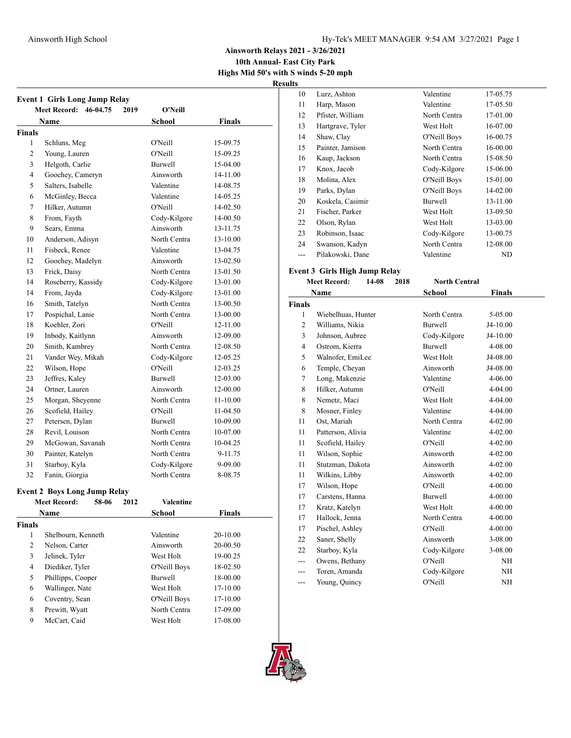#### Ainsworth High School **High School** Hy-Tek's MEET MANAGER 9:54 AM 3/27/2021 Page 1

**Ainsworth Relays 2021 - 3/26/2021**

**10th Annual- East City Park Highs Mid 50's with S winds 5-20 mph**

**Result** 

|                | <b>Event 1 Girls Long Jump Relay</b><br><b>Meet Record:</b><br>46-04.75<br>2019 | O'Neill          |          |
|----------------|---------------------------------------------------------------------------------|------------------|----------|
|                | Name                                                                            | School           | Finals   |
| <b>Finals</b>  |                                                                                 |                  |          |
| 1              | Schluns, Meg                                                                    | O'Neill          | 15-09.75 |
| 2              | Young, Lauren                                                                   | O'Neill          | 15-09.25 |
| 3              | Helgoth, Carlie                                                                 | <b>Burwell</b>   | 15-04.00 |
| 4              | Goochey, Cameryn                                                                | Ainsworth        | 14-11.00 |
| 5              | Salters, Isabelle                                                               | Valentine        | 14-08.75 |
| 6              | McGinley, Becca                                                                 | Valentine        | 14-05.25 |
| 7              | Hilker, Autumn                                                                  | O'Neill          | 14-02.50 |
| 8              | From, Fayth                                                                     | Cody-Kilgore     | 14-00.50 |
| 9              | Sears, Emma                                                                     | Ainsworth        | 13-11.75 |
| 10             | Anderson, Adisyn                                                                | North Centra     | 13-10.00 |
| 11             | Fisbeck, Renee                                                                  | Valentine        | 13-04.75 |
| 12             | Goochey, Madelyn                                                                | Ainsworth        | 13-02.50 |
| 13             | Frick, Daisy                                                                    | North Centra     | 13-01.50 |
| 14             | Roseberry, Kassidy                                                              | Cody-Kilgore     | 13-01.00 |
| 14             | From, Jayda                                                                     | Cody-Kilgore     | 13-01.00 |
| 16             | Smith, Tatelyn                                                                  | North Centra     | 13-00.50 |
| 17             | Pospichal, Lanie                                                                | North Centra     | 13-00.00 |
| 18             | Koehler, Zori                                                                   | O'Neill          | 12-11.00 |
| 19             | Inbody, Kaitlynn                                                                | Ainsworth        | 12-09.00 |
| 20             | Smith, Kambrey                                                                  | North Centra     | 12-08.50 |
| 21             | Vander Wey, Mikah                                                               | Cody-Kilgore     | 12-05.25 |
| 22             | Wilson, Hope                                                                    | O'Neill          | 12-03.25 |
| 23             | Jeffres, Kaley                                                                  | Burwell          | 12-03.00 |
| 24             | Ortner, Lauren                                                                  | Ainsworth        | 12-00.00 |
| 25             |                                                                                 | North Centra     |          |
| 26             | Morgan, Sheyenne                                                                | O'Neill          | 11-10.00 |
|                | Scofield, Hailey                                                                |                  | 11-04.50 |
| 27             | Petersen, Dylan                                                                 | <b>Burwell</b>   | 10-09.00 |
| 28             | Revil, Louison                                                                  | North Centra     | 10-07.00 |
| 29             | McGowan, Savanah                                                                | North Centra     | 10-04.25 |
| 30             | Painter, Katelyn                                                                | North Centra     | 9-11.75  |
| 31             | Starboy, Kyla                                                                   | Cody-Kilgore     | 9-09.00  |
| 32             | Fanin, Giorgia                                                                  | North Centra     | 8-08.75  |
|                | <b>Event 2 Boys Long Jump Relay</b>                                             |                  |          |
|                | <b>Meet Record:</b><br>58-06<br>2012                                            | <b>Valentine</b> |          |
|                | Name                                                                            | <b>School</b>    | Finals   |
| <b>Finals</b>  |                                                                                 |                  |          |
| $\mathbf{1}$   | Shelbourn, Kenneth                                                              | Valentine        | 20-10.00 |
| $\overline{c}$ | Nelson, Carter                                                                  | Ainsworth        | 20-00.50 |
| 3              | Jelinek, Tyler                                                                  | West Holt        | 19-00.25 |
| $\overline{4}$ | Diediker, Tyler                                                                 | O'Neill Boys     | 18-02.50 |
| 5              | Phillipps, Cooper                                                               | Burwell          | 18-00.00 |
| 6              | Wallinger, Nate                                                                 | West Holt        | 17-10.00 |
| 6              | Coventry, Sean                                                                  | O'Neill Boys     | 17-10.00 |
| 8              | Prewitt, Wyatt                                                                  | North Centra     | 17-09.00 |
| 9              | McCart, Caid                                                                    | West Holt        | 17-08.00 |

| S   |                  |                |          |
|-----|------------------|----------------|----------|
| 10  | Lurz, Ashton     | Valentine      | 17-05.75 |
| 11  | Harp, Mason      | Valentine      | 17-05.50 |
| 12  | Pfister, William | North Centra   | 17-01.00 |
| 13  | Hartgrave, Tyler | West Holt      | 16-07.00 |
| 14  | Shaw, Clay       | O'Neill Boys   | 16-00.75 |
| 15  | Painter, Jamison | North Centra   | 16-00.00 |
| 16  | Kaup, Jackson    | North Centra   | 15-08.50 |
| 17  | Knox, Jacob      | Cody-Kilgore   | 15-06.00 |
| 18  | Molina, Alex     | O'Neill Boys   | 15-01.00 |
| 19  | Parks, Dylan     | O'Neill Boys   | 14-02.00 |
| 20  | Koskela, Casimir | <b>Burwell</b> | 13-11.00 |
| 21  | Fischer, Parker  | West Holt      | 13-09.50 |
| 22  | Olson, Rylan     | West Holt      | 13-03.00 |
| 23  | Robinson, Isaac  | Cody-Kilgore   | 13-00.75 |
| 24  | Swanson, Kadyn   | North Centra   | 12-08.00 |
| --- | Pilakowski, Dane | Valentine      | ND       |
|     |                  |                |          |

### **Event 3 Girls High Jump Relay**

**Meet Record: 14-08 2018 North Central Name School Finals Finals** Wiebelhuas, Hunter North Centra 5-05.00 2 Williams, Nikia Burwell J4-10.00 Johnson, Aubree Cody-Kilgore J4-10.00 4 Ostrom, Kierra Burwell 4-08.00 Walnofer, EmiLee West Holt J4-08.00 Temple, Cheyan Ainsworth J4-08.00 Long, Makenzie Valentine 4-06.00 Hilker, Autumn O'Neill 4-04.00 8 Nemetz, Maci West Holt 4-04.00 8 Mosner, Finley Valentine 4-04.00 11 Ost, Mariah North Centra 4-02.00 11 Patterson, Alivia Valentine 4-02.00 11 Scofield, Hailey O'Neill 4-02.00 Wilson, Sophie Ainsworth 4-02.00 Stutzman, Dakota Ainsworth 4-02.00 Wilkins, Libby Ainsworth 4-02.00 17 Wilson, Hope O'Neill 4-00.00 17 Carstens, Hanna Burwell 4-00.00 17 Kratz, Katelyn West Holt 4-00.00 Hallock, Jenna North Centra 4-00.00 17 Pischel, Ashley O'Neill 4-00.00 Saner, Shelly Ainsworth 3-08.00 Starboy, Kyla Cody-Kilgore 3-08.00 --- Owens, Bethany O'Neill NH --- Toren, Amanda Cody-Kilgore NH --- Young, Quincy O'Neill NH

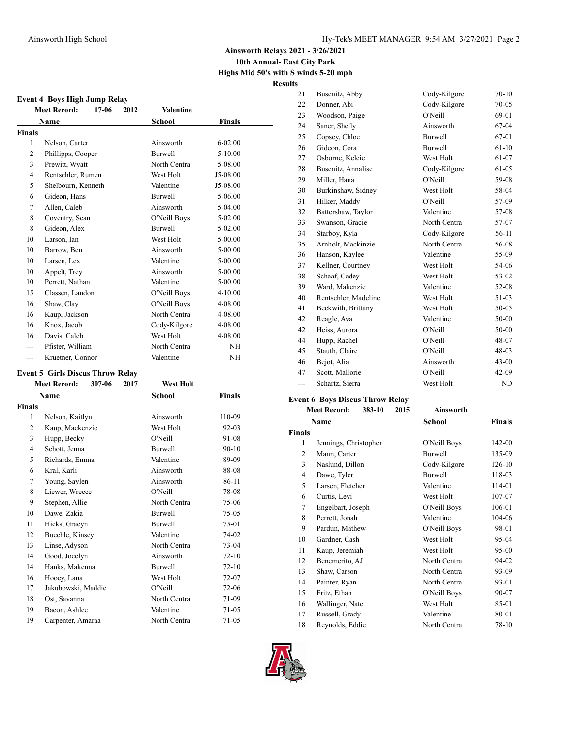### Ainsworth High School **Hy-Tek's MEET MANAGER** 9:54 AM 3/27/2021 Page 2

**Ainsworth Relays 2021 - 3/26/2021**

**10th Annual- East City Park Highs Mid 50's with S winds 5-20 mph**

**Results**

|               | <b>Meet Record:</b><br>17-06<br>2012 | <b>Valentine</b> |               |
|---------------|--------------------------------------|------------------|---------------|
|               | Name                                 | <b>School</b>    | <b>Finals</b> |
| <b>Finals</b> |                                      |                  |               |
| 1             | Nelson, Carter                       | Ainsworth        | $6 - 02.00$   |
| 2             | Phillipps, Cooper                    | <b>Burwell</b>   | $5 - 10.00$   |
| 3             | Prewitt, Wyatt                       | North Centra     | 5-08.00       |
| 4             | Rentschler, Rumen                    | West Holt        | J5-08.00      |
| 5             | Shelbourn, Kenneth                   | Valentine        | J5-08.00      |
| 6             | Gideon, Hans                         | <b>Burwell</b>   | 5-06.00       |
| 7             | Allen, Caleb                         | Ainsworth        | 5-04.00       |
| 8             | Coventry, Sean                       | O'Neill Boys     | $5-02.00$     |
| 8             | Gideon, Alex                         | <b>Burwell</b>   | $5-02.00$     |
| 10            | Larson, Ian                          | West Holt        | $5 - 00.00$   |
| 10            | Barrow, Ben                          | Ainsworth        | $5 - 00.00$   |
| 10            | Larsen, Lex                          | Valentine        | $5 - 00.00$   |
| 10            | Appelt, Trey                         | Ainsworth        | $5 - 00.00$   |
| 10            | Perrett, Nathan                      | Valentine        | $5 - 00.00$   |
| 15            | Classen, Landon                      | O'Neill Boys     | $4 - 10.00$   |
| 16            | Shaw, Clay                           | O'Neill Boys     | 4-08.00       |
| 16            | Kaup, Jackson                        | North Centra     | 4-08.00       |
| 16            | Knox, Jacob                          | Cody-Kilgore     | 4-08.00       |
| 16            | Davis, Caleb                         | West Holt        | 4-08.00       |
|               | Pfister, William                     | North Centra     | NH            |
|               | Kruetner, Connor                     | Valentine        | NH            |

#### **Event 5 Girls Discus Throw Relay**

### **Meet Record: 307-06 2017 West Holt Name** School **Finals Finals** Nelson, Kaitlyn Ainsworth 110-09 Kaup, Mackenzie West Holt 92-03 Hupp, Becky O'Neill 91-08 Schott, Jenna Burwell 90-10 Richards, Emma Valentine 89-09 Kral, Karli Ainsworth 88-08 Young, Saylen Ainsworth 86-11 Liewer, Wreece O'Neill 78-08 9 Stephen, Allie North Centra 75-06 Dawe, Zakia Burwell 75-05 Hicks, Gracyn Burwell 75-01 Buechle, Kinsey Valentine 74-02 Linse, Adyson North Centra 73-04 Good, Jocelyn Ainsworth 72-10 Hanks, Makenna Burwell 72-10 Hooey, Lana West Holt 72-07 Jakubowski, Maddie O'Neill 72-06 Ost, Savanna North Centra 71-09 Bacon, Ashlee Valentine 71-05 Carpenter, Amaraa North Centra 71-05

| 21  | Busenitz, Abby       | Cody-Kilgore   | $70 - 10$ |
|-----|----------------------|----------------|-----------|
| 22  | Donner, Abi          | Cody-Kilgore   | $70 - 05$ |
| 23  | Woodson, Paige       | O'Neill        | 69-01     |
| 24  | Saner, Shelly        | Ainsworth      | 67-04     |
| 25  | Copsey, Chloe        | <b>Burwell</b> | 67-01     |
| 26  | Gideon, Cora         | <b>Burwell</b> | $61-10$   |
| 27  | Osborne, Kelcie      | West Holt      | 61-07     |
| 28  | Busenitz, Annalise   | Cody-Kilgore   | 61-05     |
| 29  | Miller, Hana         | O'Neill        | 59-08     |
| 30  | Burkinshaw, Sidney   | West Holt      | 58-04     |
| 31  | Hilker, Maddy        | O'Neill        | 57-09     |
| 32  | Battershaw, Taylor   | Valentine      | 57-08     |
| 33  | Swanson, Gracie      | North Centra   | 57-07     |
| 34  | Starboy, Kyla        | Cody-Kilgore   | 56-11     |
| 35  | Arnholt, Mackinzie   | North Centra   | 56-08     |
| 36  | Hanson, Kaylee       | Valentine      | 55-09     |
| 37  | Kellner, Courtney    | West Holt      | 54-06     |
| 38  | Schaaf, Cadey        | West Holt      | 53-02     |
| 39  | Ward, Makenzie       | Valentine      | 52-08     |
| 40  | Rentschler, Madeline | West Holt      | 51-03     |
| 41  | Beckwith, Brittany   | West Holt      | 50-05     |
| 42  | Reagle, Ava          | Valentine      | 50-00     |
| 42  | Heiss, Aurora        | O'Neill        | 50-00     |
| 44  | Hupp, Rachel         | O'Neill        | 48-07     |
| 45  | Stauth, Claire       | O'Neill        | 48-03     |
| 46  | Bejot, Alia          | Ainsworth      | $43 - 00$ |
| 47  | Scott, Mallorie      | O'Neill        | $42-09$   |
| --- | Schartz, Sierra      | West Holt      | ND        |

### **Event 6 Boys Discus Throw Relay**

|               | <b>Meet Record:</b><br>383-10 | 2015 | Ainsworth    |               |
|---------------|-------------------------------|------|--------------|---------------|
|               | Name                          |      | School       | <b>Finals</b> |
| <b>Finals</b> |                               |      |              |               |
| 1             | Jennings, Christopher         |      | O'Neill Boys | 142-00        |
| 2             | Mann, Carter                  |      | Burwell      | 135-09        |
| 3             | Naslund, Dillon               |      | Cody-Kilgore | 126-10        |
| 4             | Dawe, Tyler                   |      | Burwell      | 118-03        |
| 5             | Larsen, Fletcher              |      | Valentine    | 114-01        |
| 6             | Curtis, Levi                  |      | West Holt    | 107-07        |
| 7             | Engelbart, Joseph             |      | O'Neill Boys | 106-01        |
| 8             | Perrett, Jonah                |      | Valentine    | 104-06        |
| 9             | Pardun, Mathew                |      | O'Neill Boys | 98-01         |
| 10            | Gardner, Cash                 |      | West Holt    | 95-04         |
| 11            | Kaup, Jeremiah                |      | West Holt    | $95-00$       |
| 12            | Benemerito, AJ                |      | North Centra | 94-02         |
| 13            | Shaw, Carson                  |      | North Centra | 93-09         |
| 14            | Painter, Ryan                 |      | North Centra | 93-01         |
| 15            | Fritz, Ethan                  |      | O'Neill Boys | 90-07         |
| 16            | Wallinger, Nate               |      | West Holt    | 85-01         |
| 17            | Russell, Grady                |      | Valentine    | 80-01         |
| 18            | Reynolds, Eddie               |      | North Centra | 78-10         |

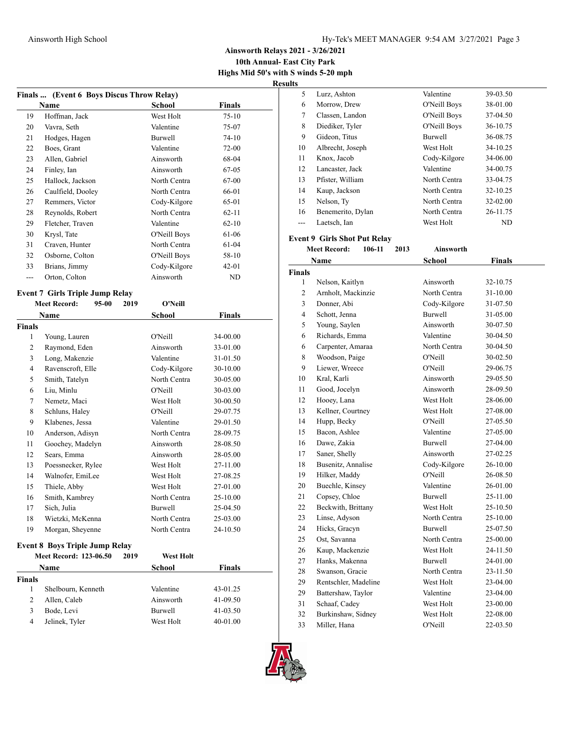**10th Annual- East City Park Highs Mid 50's with S winds 5-20 mph**

**Results**

|                         | Finals  (Event 6 Boys Discus Throw Relay) |      |               |               |
|-------------------------|-------------------------------------------|------|---------------|---------------|
|                         | Name                                      |      | <b>School</b> | Finals        |
| 19                      | Hoffman, Jack                             |      | West Holt     | $75 - 10$     |
| 20                      | Vavra, Seth                               |      | Valentine     | 75-07         |
| 21                      | Hodges, Hagen                             |      | Burwell       | $74 - 10$     |
| 22                      | Boes, Grant                               |      | Valentine     | $72-00$       |
| 23                      | Allen, Gabriel                            |      | Ainsworth     | 68-04         |
| 24                      | Finley, Ian                               |      | Ainsworth     | 67-05         |
| 25                      | Hallock, Jackson                          |      | North Centra  | 67-00         |
| 26                      | Caulfield, Dooley                         |      | North Centra  | 66-01         |
| 27                      | Remmers, Victor                           |      | Cody-Kilgore  | 65-01         |
| 28                      | Reynolds, Robert                          |      | North Centra  | $62 - 11$     |
| 29                      | Fletcher, Traven                          |      | Valentine     | $62 - 10$     |
| 30                      | Krysl, Tate                               |      | O'Neill Boys  | 61-06         |
| 31                      | Craven, Hunter                            |      | North Centra  | 61-04         |
| 32                      | Osborne, Colton                           |      | O'Neill Boys  | 58-10         |
| 33                      | Brians, Jimmy                             |      | Cody-Kilgore  | 42-01         |
| $---$                   | Orton, Colton                             |      | Ainsworth     | ND            |
|                         | <b>Event 7 Girls Triple Jump Relay</b>    |      |               |               |
|                         | <b>Meet Record:</b><br>$95 - 00$          | 2019 | O'Neill       |               |
|                         | Name                                      |      | School        | <b>Finals</b> |
| <b>Finals</b>           |                                           |      |               |               |
| 1                       | Young, Lauren                             |      | O'Neill       | 34-00.00      |
| 2                       | Raymond, Eden                             |      | Ainsworth     | 33-01.00      |
| 3                       | Long, Makenzie                            |      | Valentine     | 31-01.50      |
| 4                       | Ravenscroft, Elle                         |      | Cody-Kilgore  | 30-10.00      |
| 5                       | Smith, Tatelyn                            |      | North Centra  | 30-05.00      |
| 6                       | Liu, Minlu                                |      | O'Neill       | 30-03.00      |
| 7                       | Nemetz, Maci                              |      | West Holt     | 30-00.50      |
| 8                       | Schluns, Haley                            |      | O'Neill       | 29-07.75      |
| 9                       | Klabenes, Jessa                           |      | Valentine     | 29-01.50      |
| 10                      | Anderson, Adisyn                          |      | North Centra  | 28-09.75      |
| 11                      | Goochey, Madelyn                          |      | Ainsworth     | 28-08.50      |
| 12                      | Sears, Emma                               |      | Ainsworth     | 28-05.00      |
| 13                      | Poessnecker, Rylee                        |      | West Holt     | 27-11.00      |
| 14                      | Walnofer, EmiLee                          |      | West Holt     | 27-08.25      |
| 15                      | Thiele, Abby                              |      | West Holt     | 27-01.00      |
| 16                      | Smith, Kambrey                            |      | North Centra  | 25-10.00      |
| 17                      | Sich, Julia                               |      | Burwell       | 25-04.50      |
| 18                      | Wietzki, McKenna                          |      | North Centra  | 25-03.00      |
| 19                      | Morgan, Sheyenne                          |      | North Centra  | 24-10.50      |
|                         | <b>Event 8 Boys Triple Jump Relay</b>     |      |               |               |
|                         | <b>Meet Record: 123-06.50</b>             | 2019 | West Holt     |               |
|                         | Name                                      |      | <b>School</b> | <b>Finals</b> |
| <b>Finals</b>           |                                           |      |               |               |
| 1                       | Shelbourn, Kenneth                        |      | Valentine     | 43-01.25      |
| 2                       | Allen, Caleb                              |      | Ainsworth     | 41-09.50      |
| 3                       | Bode, Levi                                |      | Burwell       | 41-03.50      |
| $\overline{\mathbf{4}}$ | Jelinek, Tyler                            |      | West Holt     | 40-01.00      |

| 5  | Lurz, Ashton      | Valentine      | 39-03.50     |  |
|----|-------------------|----------------|--------------|--|
| 6  | Morrow, Drew      | O'Neill Boys   | 38-01.00     |  |
| 7  | Classen, Landon   | O'Neill Boys   | 37-04.50     |  |
| 8  | Diediker, Tyler   | O'Neill Boys   | 36-10.75     |  |
| 9  | Gideon, Titus     | <b>Burwell</b> | 36-08.75     |  |
| 10 | Albrecht, Joseph  | West Holt      | 34-10.25     |  |
| 11 | Knox, Jacob       | Cody-Kilgore   | 34-06.00     |  |
| 12 | Lancaster, Jack   | Valentine      | 34-00.75     |  |
| 13 | Pfister, William  | North Centra   | 33-04.75     |  |
| 14 | Kaup, Jackson     | North Centra   | 32-10.25     |  |
| 15 | Nelson, Ty        | North Centra   | $32 - 02.00$ |  |
| 16 | Benemerito, Dylan | North Centra   | 26-11.75     |  |
|    | Laetsch, Ian      | West Holt      | ND           |  |
|    |                   |                |              |  |

#### **Event 9 Girls Shot Put Relay Meet Record: 106-11 2013 Ainsworth**

|                | Name                 | <b>School</b>  | <b>Finals</b> |  |
|----------------|----------------------|----------------|---------------|--|
| <b>Finals</b>  |                      |                |               |  |
| 1              | Nelson, Kaitlyn      | Ainsworth      | 32-10.75      |  |
| $\overline{c}$ | Arnholt, Mackinzie   | North Centra   | 31-10.00      |  |
| 3              | Donner, Abi          | Cody-Kilgore   | 31-07.50      |  |
| 4              | Schott, Jenna        | <b>Burwell</b> | 31-05.00      |  |
| 5              | Young, Saylen        | Ainsworth      | 30-07.50      |  |
| 6              | Richards, Emma       | Valentine      | 30-04.50      |  |
| 6              | Carpenter, Amaraa    | North Centra   | 30-04.50      |  |
| 8              | Woodson, Paige       | O'Neill        | 30-02.50      |  |
| 9              | Liewer, Wreece       | O'Neill        | 29-06.75      |  |
| 10             | Kral, Karli          | Ainsworth      | 29-05.50      |  |
| 11             | Good, Jocelyn        | Ainsworth      | 28-09.50      |  |
| 12             | Hooey, Lana          | West Holt      | 28-06.00      |  |
| 13             | Kellner, Courtney    | West Holt      | 27-08.00      |  |
| 14             | Hupp, Becky          | O'Neill        | 27-05.50      |  |
| 15             | Bacon, Ashlee        | Valentine      | 27-05.00      |  |
| 16             | Dawe, Zakia          | <b>Burwell</b> | 27-04.00      |  |
| 17             | Saner, Shelly        | Ainsworth      | 27-02.25      |  |
| 18             | Busenitz, Annalise   | Cody-Kilgore   | 26-10.00      |  |
| 19             | Hilker, Maddy        | O'Neill        | 26-08.50      |  |
| 20             | Buechle, Kinsey      | Valentine      | 26-01.00      |  |
| 21             | Copsey, Chloe        | <b>Burwell</b> | 25-11.00      |  |
| 22             | Beckwith, Brittany   | West Holt      | 25-10.50      |  |
| 23             | Linse, Adyson        | North Centra   | 25-10.00      |  |
| 24             | Hicks, Gracyn        | <b>Burwell</b> | 25-07.50      |  |
| 25             | Ost. Savanna         | North Centra   | 25-00.00      |  |
| 26             | Kaup, Mackenzie      | West Holt      | 24-11.50      |  |
| 27             | Hanks, Makenna       | <b>Burwell</b> | 24-01.00      |  |
| 28             | Swanson, Gracie      | North Centra   | 23-11.50      |  |
| 29             | Rentschler, Madeline | West Holt      | 23-04.00      |  |
| 29             | Battershaw, Taylor   | Valentine      | 23-04.00      |  |
| 31             | Schaaf, Cadey        | West Holt      | 23-00.00      |  |
| 32             | Burkinshaw, Sidney   | West Holt      | 22-08.00      |  |
| 33             | Miller, Hana         | O'Neill        | 22-03.50      |  |

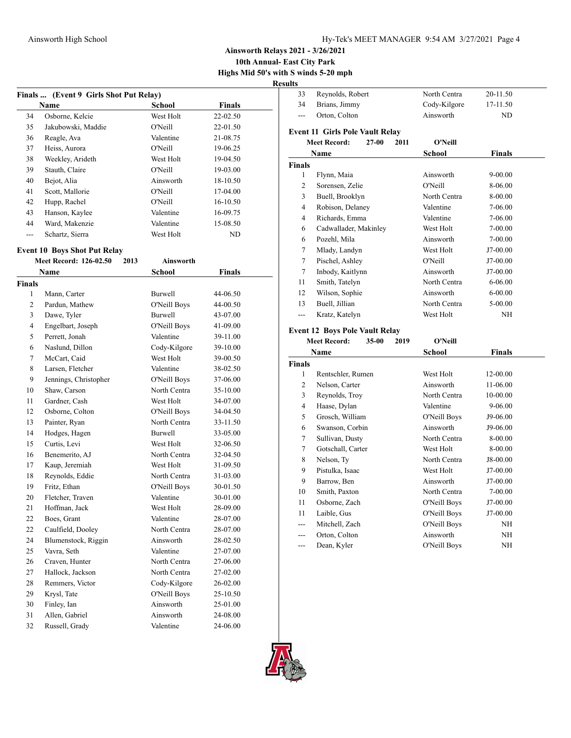**10th Annual- East City Park Highs Mid 50's with S winds 5-20 mph**

**Results**

|     | Finals  (Event 9 Girls Shot Put Relay) |           |               |  |
|-----|----------------------------------------|-----------|---------------|--|
|     | Name                                   | School    | <b>Finals</b> |  |
| 34  | Osborne, Kelcie                        | West Holt | $22 - 02.50$  |  |
| 35  | Jakubowski, Maddie                     | O'Neill   | $22 - 01.50$  |  |
| 36  | Reagle, Ava                            | Valentine | 21-08.75      |  |
| 37  | Heiss, Aurora                          | O'Neill   | 19-06.25      |  |
| 38  | Weekley, Arideth                       | West Holt | 19-04.50      |  |
| 39  | Stauth, Claire                         | O'Neill   | 19-03.00      |  |
| 40  | Bejot, Alia                            | Ainsworth | 18-10.50      |  |
| 41  | Scott, Mallorie                        | O'Neill   | 17-04.00      |  |
| 42  | Hupp, Rachel                           | O'Neill   | 16-10.50      |  |
| 43  | Hanson, Kaylee                         | Valentine | 16-09.75      |  |
| 44  | Ward, Makenzie                         | Valentine | 15-08.50      |  |
| --- | Schartz, Sierra                        | West Holt | ND            |  |
|     |                                        |           |               |  |

#### **Event 10 Boys Shot Put Relay**

|                | <b>Meet Record: 126-02.50</b><br>2013 | <b>Ainsworth</b> |          |
|----------------|---------------------------------------|------------------|----------|
|                | Name                                  | School           | Finals   |
| <b>Finals</b>  |                                       |                  |          |
| 1              | Mann, Carter                          | Burwell          | 44-06.50 |
| $\overline{c}$ | Pardun, Mathew                        | O'Neill Boys     | 44-00.50 |
| 3              | Dawe, Tyler                           | Burwell          | 43-07.00 |
| $\overline{4}$ | Engelbart, Joseph                     | O'Neill Boys     | 41-09.00 |
| 5              | Perrett, Jonah                        | Valentine        | 39-11.00 |
| 6              | Naslund, Dillon                       | Cody-Kilgore     | 39-10.00 |
| $\tau$         | McCart, Caid                          | West Holt        | 39-00.50 |
| 8              | Larsen, Fletcher                      | Valentine        | 38-02.50 |
| 9              | Jennings, Christopher                 | O'Neill Boys     | 37-06.00 |
| 10             | Shaw, Carson                          | North Centra     | 35-10.00 |
| 11             | Gardner, Cash                         | West Holt        | 34-07.00 |
| 12             | Osborne, Colton                       | O'Neill Boys     | 34-04.50 |
| 13             | Painter, Ryan                         | North Centra     | 33-11.50 |
| 14             | Hodges, Hagen                         | <b>Burwell</b>   | 33-05.00 |
| 15             | Curtis, Levi                          | West Holt        | 32-06.50 |
| 16             | Benemerito, AJ                        | North Centra     | 32-04.50 |
| 17             | Kaup, Jeremiah                        | West Holt        | 31-09.50 |
| 18             | Reynolds, Eddie                       | North Centra     | 31-03.00 |
| 19             | Fritz, Ethan                          | O'Neill Boys     | 30-01.50 |
| 20             | Fletcher, Traven                      | Valentine        | 30-01.00 |
| 21             | Hoffman, Jack                         | West Holt        | 28-09.00 |
| 22             | Boes, Grant                           | Valentine        | 28-07.00 |
| 22             | Caulfield, Dooley                     | North Centra     | 28-07.00 |
| 24             | Blumenstock, Riggin                   | Ainsworth        | 28-02.50 |
| 25             | Vavra, Seth                           | Valentine        | 27-07.00 |
| 26             | Craven, Hunter                        | North Centra     | 27-06.00 |
| 27             | Hallock, Jackson                      | North Centra     | 27-02.00 |
| 28             | Remmers, Victor                       | Cody-Kilgore     | 26-02.00 |
| 29             | Krysl, Tate                           | O'Neill Boys     | 25-10.50 |
| 30             | Finley, Ian                           | Ainsworth        | 25-01.00 |
| 31             | Allen, Gabriel                        | Ainsworth        | 24-08.00 |
| 32             | Russell, Grady                        | Valentine        | 24-06.00 |

| 33             | Reynolds, Robert                       |      | North Centra | 20-11.50      |
|----------------|----------------------------------------|------|--------------|---------------|
| 34             | Brians, Jimmy                          |      | Cody-Kilgore | 17-11.50      |
| $-$            | Orton, Colton                          |      | Ainsworth    | ND            |
|                | <b>Event 11 Girls Pole Vault Relay</b> |      |              |               |
|                | <b>Meet Record:</b><br>$27-00$         | 2011 | O'Neill      |               |
|                | Name                                   |      | School       | Finals        |
| <b>Finals</b>  |                                        |      |              |               |
| 1              | Flynn, Maia                            |      | Ainsworth    | 9-00.00       |
| 2              | Sorensen, Zelie                        |      | O'Neill      | 8-06.00       |
| 3              | Buell, Brooklyn                        |      | North Centra | 8-00.00       |
| $\overline{4}$ | Robison, Delaney                       |      | Valentine    | 7-06.00       |
| $\overline{4}$ | Richards, Emma                         |      | Valentine    | 7-06.00       |
| 6              | Cadwallader, Makinley                  |      | West Holt    | 7-00.00       |
| 6              | Pozehl, Mila                           |      | Ainsworth    | 7-00.00       |
| 7              | Mlady, Landyn                          |      | West Holt    | J7-00.00      |
| 7              | Pischel, Ashley                        |      | O'Neill      | J7-00.00      |
| 7              | Inbody, Kaitlynn                       |      | Ainsworth    | J7-00.00      |
| 11             | Smith, Tatelyn                         |      | North Centra | 6-06.00       |
| 12             | Wilson, Sophie                         |      | Ainsworth    | 6-00.00       |
| 13             | Buell, Jillian                         |      | North Centra | 5-00.00       |
| $---$          | Kratz, Katelyn                         |      | West Holt    | NH            |
|                | <b>Event 12 Boys Pole Vault Relay</b>  |      |              |               |
|                | <b>Meet Record:</b><br>35-00           | 2019 | O'Neill      |               |
|                | Name                                   |      | School       | <b>Finals</b> |
| <b>Finals</b>  |                                        |      |              |               |
| $\mathbf{1}$   | Rentschler, Rumen                      |      | West Holt    | 12-00.00      |
| $\overline{c}$ | Nelson, Carter                         |      | Ainsworth    | 11-06.00      |
| 3              | Reynolds, Troy                         |      | North Centra | 10-00.00      |
| 4              | Haase, Dylan                           |      | Valentine    | 9-06.00       |
| 5              | Grosch, William                        |      | O'Neill Boys | J9-06.00      |
| 6              | Swanson, Corbin                        |      | Ainsworth    | J9-06.00      |
| 7              | Sullivan, Dusty                        |      | North Centra | 8-00.00       |
| 7              | Gotschall, Carter                      |      | West Holt    | 8-00.00       |
| 8              | Nelson, Ty                             |      | North Centra | J8-00.00      |
| 9              | Pistulka, Isaac                        |      | West Holt    | J7-00.00      |
| 9              | Barrow, Ben                            |      | Ainsworth    | J7-00.00      |
| 10             | Smith, Paxton                          |      | North Centra | 7-00.00       |
| 11             | Osborne, Zach                          |      | O'Neill Boys | J7-00.00      |
| 11             | Laible, Gus                            |      | O'Neill Boys | J7-00.00      |

--- Mitchell, Zach O'Neill Boys NH --- Orton, Colton Ainsworth NH --- Dean, Kyler O'Neill Boys NH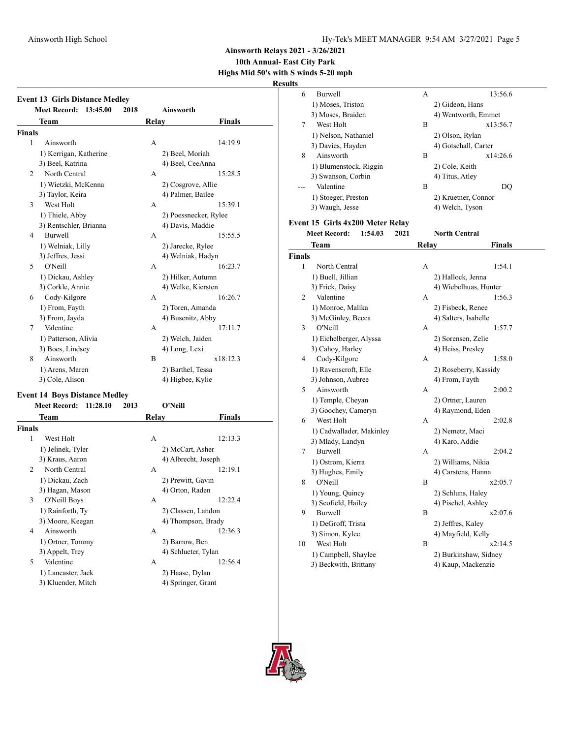6 Burwell A 13:56.6 1) Moses, Triston 2) Gideon, Hans

**Ainsworth Relays 2021 - 3/26/2021**

# **10th Annual- East City Park**

**Highs Mid 50's with S winds 5-20 mph**

**Results**

|                | <b>Event 13 Girls Distance Medley</b><br><b>Meet Record:</b> | 13:45.00 | 2018 |       | Ainsworth                            |          |
|----------------|--------------------------------------------------------------|----------|------|-------|--------------------------------------|----------|
|                | Team                                                         |          |      | Relay |                                      | Finals   |
| Finals         |                                                              |          |      |       |                                      |          |
| 1              | Ainsworth                                                    |          |      | А     |                                      | 14:19.9  |
|                | 1) Kerrigan, Katherine                                       |          |      |       | 2) Beel, Moriah                      |          |
|                | 3) Beel, Katrina                                             |          |      |       | 4) Beel, CeeAnna                     |          |
| $\overline{2}$ | North Central                                                |          |      | А     |                                      | 15:28.5  |
|                | 1) Wietzki, McKenna                                          |          |      |       | 2) Cosgrove, Allie                   |          |
|                | 3) Taylor, Keira                                             |          |      |       | 4) Palmer, Bailee                    |          |
| 3              | West Holt                                                    |          |      | А     |                                      | 15:39.1  |
|                | 1) Thiele, Abby                                              |          |      |       | 2) Poessnecker, Rylee                |          |
|                | 3) Rentschler, Brianna                                       |          |      |       | 4) Davis, Maddie                     |          |
| $\overline{4}$ | Burwell                                                      |          |      | А     |                                      | 15:55.5  |
|                | 1) Welniak, Lilly                                            |          |      |       | 2) Jarecke, Rylee                    |          |
|                | 3) Jeffres, Jessi                                            |          |      |       | 4) Welniak, Hadyn                    |          |
| 5              | O'Neill                                                      |          |      | А     |                                      | 16:23.7  |
|                | 1) Dickau, Ashley                                            |          |      |       | 2) Hilker, Autumn                    |          |
|                | 3) Corkle, Annie                                             |          |      |       | 4) Welke, Kiersten                   |          |
| 6              | Cody-Kilgore                                                 |          |      | А     |                                      | 16:26.7  |
|                | 1) From, Fayth                                               |          |      |       | 2) Toren, Amanda                     |          |
|                | 3) From, Jayda                                               |          |      |       | 4) Busenitz, Abby                    |          |
| 7              | Valentine                                                    |          |      | А     |                                      | 17:11.7  |
|                | 1) Patterson, Alivia                                         |          |      |       | 2) Welch, Jaiden                     |          |
|                | 3) Boes, Lindsey                                             |          |      |       | 4) Long, Lexi                        |          |
| 8              | Ainsworth                                                    |          |      | B     |                                      | x18:12.3 |
|                | 1) Arens, Maren                                              |          |      |       | 2) Barthel, Tessa                    |          |
|                | 3) Cole, Alison                                              |          |      |       | 4) Higbee, Kylie                     |          |
|                |                                                              |          |      |       |                                      |          |
|                | <b>Event 14 Boys Distance Medley</b><br><b>Meet Record:</b>  | 11:28.10 | 2013 |       | O'Neill                              |          |
|                | Team                                                         |          |      | Relay |                                      | Finals   |
| Finals         |                                                              |          |      |       |                                      |          |
| 1              | West Holt                                                    |          |      | А     |                                      | 12:13.3  |
|                | 1) Jelinek, Tyler                                            |          |      |       | 2) McCart, Asher                     |          |
|                | 3) Kraus, Aaron                                              |          |      |       | 4) Albrecht, Joseph                  |          |
| $\overline{c}$ | North Central                                                |          |      | А     |                                      | 12:19.1  |
|                |                                                              |          |      |       |                                      |          |
|                | 1) Dickau, Zach                                              |          |      |       | 2) Prewitt, Gavin<br>4) Orton, Raden |          |
| 3              | 3) Hagan, Mason                                              |          |      | А     |                                      | 12:22.4  |
|                | O'Neill Boys                                                 |          |      |       |                                      |          |
|                | 1) Rainforth, Ty                                             |          |      |       | 2) Classen, Landon                   |          |
|                | 3) Moore, Keegan                                             |          |      |       | 4) Thompson, Brady                   | 12:36.3  |
| 4              | Ainsworth                                                    |          |      | А     |                                      |          |
|                | 1) Ortner, Tommy                                             |          |      |       | 2) Barrow, Ben                       |          |
|                | 3) Appelt, Trey                                              |          |      |       | 4) Schlueter, Tylan                  |          |
| 5              | Valentine                                                    |          |      | А     |                                      | 12:56.4  |

1) Lancaster, Jack 2) Haase, Dylan<br>3) Kluender, Mitch 4) Springer, Gran

4) Springer, Grant

|                | 3) Moses, Braiden                |      |       | 4) Wentworth, Emmet   |
|----------------|----------------------------------|------|-------|-----------------------|
| 7              | West Holt                        |      | В     | x13:56.7              |
|                | 1) Nelson, Nathaniel             |      |       | 2) Olson, Rylan       |
|                | 3) Davies, Hayden                |      |       | 4) Gotschall, Carter  |
| 8              | Ainsworth                        |      | B     | x14:26.6              |
|                | 1) Blumenstock, Riggin           |      |       | 2) Cole, Keith        |
|                | 3) Swanson, Corbin               |      |       | 4) Titus, Atley       |
| ---            | Valentine                        |      | В     | DQ                    |
|                | 1) Stoeger, Preston              |      |       | 2) Kruetner, Connor   |
|                | 3) Waugh, Jesse                  |      |       | 4) Welch, Tyson       |
|                |                                  |      |       |                       |
|                | Event 15 Girls 4x200 Meter Relay |      |       |                       |
|                | <b>Meet Record:</b><br>1:54.03   | 2021 |       | North Central         |
|                | Team                             |      | Relay | Finals                |
| <b>Finals</b>  |                                  |      |       |                       |
| 1              | North Central                    |      | А     | 1:54.1                |
|                | 1) Buell, Jillian                |      |       | 2) Hallock, Jenna     |
|                | 3) Frick, Daisy                  |      |       | 4) Wiebelhuas, Hunter |
| $\overline{c}$ | Valentine                        |      | А     | 1:56.3                |
|                | 1) Monroe, Malika                |      |       | 2) Fisbeck, Renee     |
|                | 3) McGinley, Becca               |      |       | 4) Salters, Isabelle  |
| 3              | O'Neill                          |      | А     | 1:57.7                |
|                | 1) Eichelberger, Alyssa          |      |       | 2) Sorensen, Zelie    |
|                | 3) Cahoy, Harley                 |      |       | 4) Heiss, Presley     |
| 4              | Cody-Kilgore                     |      | A     | 1:58.0                |
|                | 1) Ravenscroft, Elle             |      |       | 2) Roseberry, Kassidy |
|                | 3) Johnson, Aubree               |      |       | 4) From, Fayth        |
| 5              | Ainsworth                        |      | А     | 2:00.2                |
|                | 1) Temple, Cheyan                |      |       | 2) Ortner, Lauren     |
|                | 3) Goochey, Cameryn              |      |       | 4) Raymond, Eden      |
| 6              | West Holt                        |      | A     | 2:02.8                |
|                | 1) Cadwallader, Makinley         |      |       | 2) Nemetz, Maci       |
|                | 3) Mlady, Landyn                 |      |       | 4) Karo, Addie        |
| 7              | Burwell                          |      | А     | 2:04.2                |
|                | 1) Ostrom, Kierra                |      |       | 2) Williams, Nikia    |
|                | 3) Hughes, Emily                 |      |       | 4) Carstens, Hanna    |
| 8              | O'Neill                          |      | В     | x2:05.7               |
|                | 1) Young, Quincy                 |      |       | 2) Schluns, Haley     |
|                | 3) Scofield, Hailey              |      |       | 4) Pischel, Ashley    |
| 9              | Burwell                          |      | B     | x2:07.6               |
|                | 1) DeGroff, Trista               |      |       | 2) Jeffres, Kaley     |
|                | 3) Simon, Kylee                  |      |       | 4) Mayfield, Kelly    |
| 10             | West Holt                        |      | B     | x2:14.5               |
|                | 1) Campbell, Shaylee             |      |       | 2) Burkinshaw, Sidney |
|                | 3) Beckwith, Brittany            |      |       | 4) Kaup, Mackenzie    |
|                |                                  |      |       |                       |

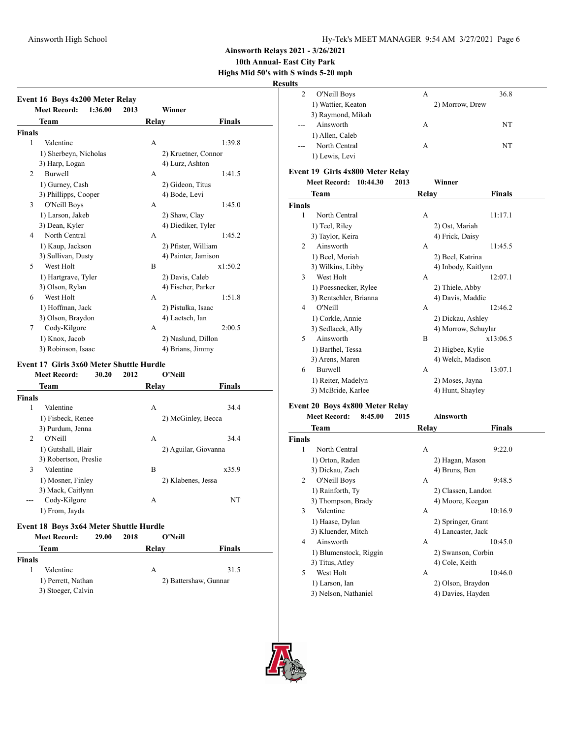**10th Annual- East City Park Highs Mid 50's with S winds 5-20 mph**

**Results**

| Winner<br><b>Relay</b><br><b>Finals</b><br>1:39.8<br>A<br>2) Kruetner, Connor<br>4) Lurz, Ashton<br>1:41.5<br>А |
|-----------------------------------------------------------------------------------------------------------------|
|                                                                                                                 |
|                                                                                                                 |
|                                                                                                                 |
|                                                                                                                 |
|                                                                                                                 |
|                                                                                                                 |
|                                                                                                                 |
|                                                                                                                 |
| 2) Gideon, Titus                                                                                                |
| 4) Bode, Levi                                                                                                   |
| 1:45.0                                                                                                          |
| 2) Shaw, Clay                                                                                                   |
| 4) Diediker, Tyler                                                                                              |
| 1:45.2                                                                                                          |
| 2) Pfister, William                                                                                             |
| 4) Painter, Jamison                                                                                             |
| x1:50.2                                                                                                         |
| 2) Davis, Caleb                                                                                                 |
| 4) Fischer, Parker                                                                                              |
| 1:51.8                                                                                                          |
| 2) Pistulka, Isaac                                                                                              |
| 4) Laetsch, Ian                                                                                                 |
| 2:00.5                                                                                                          |
| 2) Naslund, Dillon                                                                                              |
| 4) Brians, Jimmy                                                                                                |
|                                                                                                                 |
| Event 17 Girls 3x60 Meter Shuttle Hurdle<br>O'Neill                                                             |
|                                                                                                                 |
| Relay<br>Finals                                                                                                 |
|                                                                                                                 |
| 34.4                                                                                                            |
| 2) McGinley, Becca                                                                                              |
|                                                                                                                 |
| 34.4                                                                                                            |
| 2) Aguilar, Giovanna                                                                                            |
|                                                                                                                 |
| x35.9                                                                                                           |
| 2) Klabenes, Jessa                                                                                              |
|                                                                                                                 |
| NT                                                                                                              |
|                                                                                                                 |
| Event 18 Boys 3x64 Meter Shuttle Hurdle                                                                         |
| O'Neill                                                                                                         |
| Relay<br><b>Finals</b>                                                                                          |
|                                                                                                                 |
| 31.5                                                                                                            |
| А<br>А<br>В<br>A<br>A<br>А<br>А<br>B<br>Α<br>A                                                                  |

3) Stoeger, Calvin

1) Perrett, Nathan 2) Battershaw, Gunnar

| uns           |                                  |              |                     |
|---------------|----------------------------------|--------------|---------------------|
| 2             | O'Neill Boys                     | A            | 36.8                |
|               | 1) Wattier, Keaton               |              | 2) Morrow, Drew     |
|               | 3) Raymond, Mikah                |              |                     |
|               | Ainsworth                        | А            | NT                  |
|               | 1) Allen, Caleb                  |              |                     |
|               | North Central                    | A            | NT                  |
|               | 1) Lewis, Levi                   |              |                     |
|               | Event 19 Girls 4x800 Meter Relay |              |                     |
|               | <b>Meet Record:</b><br>10:44.30  | 2013         | Winner              |
|               | Team                             | Relay        | <b>Finals</b>       |
| <b>Finals</b> |                                  |              |                     |
| 1             | North Central                    | А            | 11:17.1             |
|               | 1) Teel, Riley                   |              | 2) Ost, Mariah      |
|               | 3) Taylor, Keira                 |              | 4) Frick, Daisy     |
| 2             | Ainsworth                        | А            | 11:45.5             |
|               | 1) Beel, Moriah                  |              | 2) Beel, Katrina    |
|               | 3) Wilkins, Libby                |              | 4) Inbody, Kaitlynn |
| 3             | West Holt                        | A            | 12:07.1             |
|               | 1) Poessnecker, Rylee            |              | 2) Thiele, Abby     |
|               | 3) Rentschler, Brianna           |              | 4) Davis, Maddie    |
| 4             | O'Neill                          | A            | 12:46.2             |
|               | 1) Corkle, Annie                 |              | 2) Dickau, Ashley   |
|               | 3) Sedlacek, Ally                |              | 4) Morrow, Schuylar |
| 5             | Ainsworth                        | B            | x13:06.5            |
|               | 1) Barthel, Tessa                |              | 2) Higbee, Kylie    |
|               | 3) Arens, Maren                  |              | 4) Welch, Madison   |
| 6             | <b>Burwell</b>                   | A            | 13:07.1             |
|               | 1) Reiter, Madelyn               |              | 2) Moses, Jayna     |
|               | 3) McBride, Karlee               |              | 4) Hunt, Shayley    |
|               | Event 20 Boys 4x800 Meter Relay  |              |                     |
|               | <b>Meet Record:</b><br>8:45.00   | 2015         | Ainsworth           |
|               | <b>Team</b>                      | <b>Relay</b> | Finals              |

|               | Team                   | Relay          | Finals             |  |
|---------------|------------------------|----------------|--------------------|--|
| <b>Finals</b> |                        |                |                    |  |
| 1             | North Central          | А              | 9:22.0             |  |
|               | 1) Orton, Raden        |                | 2) Hagan, Mason    |  |
|               | 3) Dickau, Zach        | 4) Bruns, Ben  |                    |  |
| 2             | O'Neill Boys           | А              | 9:48.5             |  |
|               | 1) Rainforth, Ty       |                | 2) Classen, Landon |  |
|               | 3) Thompson, Brady     |                | 4) Moore, Keegan   |  |
| 3             | Valentine              | А              | 10:16.9            |  |
|               | 1) Haase, Dylan        |                | 2) Springer, Grant |  |
|               | 3) Kluender, Mitch     |                | 4) Lancaster, Jack |  |
| 4             | Ainsworth              | А              | 10:45.0            |  |
|               | 1) Blumenstock, Riggin |                | 2) Swanson, Corbin |  |
|               | 3) Titus, Atley        | 4) Cole, Keith |                    |  |
| 5             | West Holt              | А              | 10:46.0            |  |
|               | 1) Larson, Ian         |                | 2) Olson, Braydon  |  |
|               | 3) Nelson, Nathaniel   |                | 4) Davies, Hayden  |  |

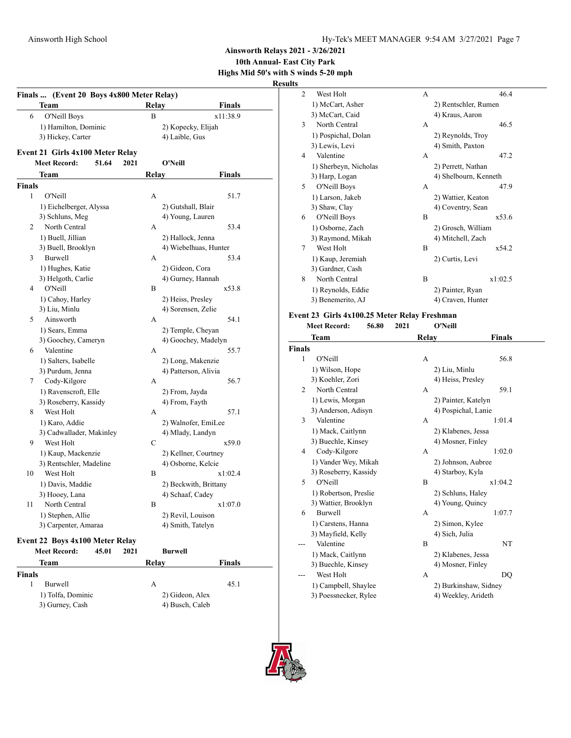**Ainsworth Relays 2021 - 3/26/2021**

### **10th Annual- East City Park Highs Mid 50's with S winds 5-20 mph**

**Results**

|               | Team                             |      | <b>Relay</b> | <b>Finals</b>         |
|---------------|----------------------------------|------|--------------|-----------------------|
| 6             | O'Neill Boys                     |      | B            | x11:38.9              |
|               | 1) Hamilton, Dominic             |      |              | 2) Kopecky, Elijah    |
|               | 3) Hickey, Carter                |      |              | 4) Laible, Gus        |
|               | Event 21 Girls 4x100 Meter Relay |      |              |                       |
|               | <b>Meet Record:</b><br>51.64     | 2021 |              | O'Neill               |
|               | Team                             |      | Relay        | <b>Finals</b>         |
| <b>Finals</b> |                                  |      |              |                       |
| 1             | O'Neill                          |      | А            | 51.7                  |
|               | 1) Eichelberger, Alyssa          |      |              | 2) Gutshall, Blair    |
|               | 3) Schluns, Meg                  |      |              | 4) Young, Lauren      |
| 2             | North Central                    |      | А            | 53.4                  |
|               | 1) Buell, Jillian                |      |              | 2) Hallock, Jenna     |
|               | 3) Buell, Brooklyn               |      |              | 4) Wiebelhuas, Hunter |
| 3             | <b>Burwell</b>                   |      | А            | 53.4                  |
|               | 1) Hughes, Katie                 |      |              | 2) Gideon, Cora       |
|               | 3) Helgoth, Carlie               |      |              | 4) Gurney, Hannah     |
| 4             | O'Neill                          |      | B            | x53.8                 |
|               | 1) Cahoy, Harley                 |      |              | 2) Heiss, Presley     |
|               | 3) Liu, Minlu                    |      |              | 4) Sorensen, Zelie    |
| 5             | Ainsworth                        |      | А            | 54.1                  |
|               | 1) Sears, Emma                   |      |              | 2) Temple, Cheyan     |
|               | 3) Goochey, Cameryn              |      |              | 4) Goochey, Madelyn   |
| 6             | Valentine                        |      | A            | 55.7                  |
|               | 1) Salters, Isabelle             |      |              | 2) Long, Makenzie     |
|               | 3) Purdum, Jenna                 |      |              | 4) Patterson, Alivia  |
| 7             | Cody-Kilgore                     |      | А            | 56.7                  |
|               | 1) Ravenscroft, Elle             |      |              | 2) From, Jayda        |
|               | 3) Roseberry, Kassidy            |      |              | 4) From, Fayth        |
| 8             | West Holt                        |      | A            | 57.1                  |
|               | 1) Karo, Addie                   |      |              | 2) Walnofer, EmiLee   |
|               | 3) Cadwallader, Makinley         |      |              | 4) Mlady, Landyn      |
| 9             | West Holt                        |      | $\mathsf{C}$ | x59.0                 |
|               | 1) Kaup, Mackenzie               |      |              | 2) Kellner, Courtney  |
|               | 3) Rentschler, Madeline          |      |              | 4) Osborne, Kelcie    |
| 10            | West Holt                        |      | B            | x1:02.4               |
|               | 1) Davis, Maddie                 |      |              | 2) Beckwith, Brittany |
|               | 3) Hooey, Lana                   |      |              | 4) Schaaf, Cadey      |
| 11            | North Central                    |      | B            | x1:07.0               |
|               | 1) Stephen, Allie                |      |              | 2) Revil, Louison     |
|               | 3) Carpenter, Amaraa             |      |              | 4) Smith, Tatelyn     |
|               | Event 22 Boys 4x100 Meter Relay  |      |              |                       |
|               | <b>Meet Record:</b><br>45.01     | 2021 |              | <b>Burwell</b>        |
|               | Team                             |      | Relay        | <b>Finals</b>         |
| <b>Finals</b> |                                  |      |              |                       |
| $\mathbf{1}$  | Burwell                          |      | А            | 45.1                  |
|               | 1) Tolfa, Dominic                |      |              | 2) Gideon, Alex       |
|               | 3) Gurney, Cash                  |      |              | 4) Busch, Caleb       |
|               |                                  |      |              |                       |

| Š              |                       |   |                       |  |
|----------------|-----------------------|---|-----------------------|--|
| $\overline{2}$ | West Holt             | A | 46.4                  |  |
|                | 1) McCart, Asher      |   | 2) Rentschler, Rumen  |  |
|                | 3) McCart, Caid       |   | 4) Kraus, Aaron       |  |
| 3              | North Central         | A | 46.5                  |  |
|                | 1) Pospichal, Dolan   |   | 2) Reynolds, Troy     |  |
|                | 3) Lewis, Levi        |   | 4) Smith, Paxton      |  |
| 4              | Valentine             | A | 47.2                  |  |
|                | 1) Sherbeyn, Nicholas |   | 2) Perrett, Nathan    |  |
|                | 3) Harp, Logan        |   | 4) Shelbourn, Kenneth |  |
| 5              | O'Neill Boys          | A | 47.9                  |  |
|                | 1) Larson, Jakeb      |   | 2) Wattier, Keaton    |  |
|                | 3) Shaw, Clay         |   | 4) Coventry, Sean     |  |
| 6              | O'Neill Boys          | R | x53.6                 |  |
|                | 1) Osborne, Zach      |   | 2) Grosch, William    |  |
|                | 3) Raymond, Mikah     |   | 4) Mitchell, Zach     |  |
| 7              | West Holt             | B | x54.2                 |  |
|                | 1) Kaup, Jeremiah     |   | 2) Curtis, Levi       |  |
|                | 3) Gardner, Cash      |   |                       |  |
| 8              | North Central         | B | x1:02.5               |  |
|                | 1) Reynolds, Eddie    |   | 2) Painter, Ryan      |  |
|                | 3) Benemerito, AJ     |   | 4) Craven, Hunter     |  |

#### **Event 23 Girls 4x100.25 Meter Relay Freshman**

|               | <b>Meet Record:</b><br>56.80 | 2021         | O'Neill               |
|---------------|------------------------------|--------------|-----------------------|
|               | Team                         | <b>Relay</b> | Finals                |
| <b>Finals</b> |                              |              |                       |
| 1             | O'Neill                      | А            | 56.8                  |
|               | 1) Wilson, Hope              |              | 2) Liu, Minlu         |
|               | 3) Koehler, Zori             |              | 4) Heiss, Presley     |
| 2             | North Central                | A            | 59.1                  |
|               | 1) Lewis, Morgan             |              | 2) Painter, Katelyn   |
|               | 3) Anderson, Adisyn          |              | 4) Pospichal, Lanie   |
| 3             | Valentine                    | A            | 1:01.4                |
|               | 1) Mack, Caitlynn            |              | 2) Klabenes, Jessa    |
|               | 3) Buechle, Kinsey           |              | 4) Mosner, Finley     |
| 4             | Cody-Kilgore                 | А            | 1:02.0                |
|               | 1) Vander Wey, Mikah         |              | 2) Johnson, Aubree    |
|               | 3) Roseberry, Kassidy        |              | 4) Starboy, Kyla      |
| 5             | O'Neill                      | B            | x1:04.2               |
|               | 1) Robertson, Preslie        |              | 2) Schluns, Haley     |
|               | 3) Wattier, Brooklyn         |              | 4) Young, Quincy      |
| 6             | Burwell                      | А            | 1:07.7                |
|               | 1) Carstens, Hanna           |              | 2) Simon, Kylee       |
|               | 3) Mayfield, Kelly           |              | 4) Sich, Julia        |
| ---           | Valentine                    | B            | NT                    |
|               | 1) Mack, Caitlynn            |              | 2) Klabenes, Jessa    |
|               | 3) Buechle, Kinsey           |              | 4) Mosner, Finley     |
|               | West Holt                    | A            | DO                    |
|               | 1) Campbell, Shaylee         |              | 2) Burkinshaw, Sidney |
|               | 3) Poessnecker, Rylee        |              | 4) Weekley, Arideth   |

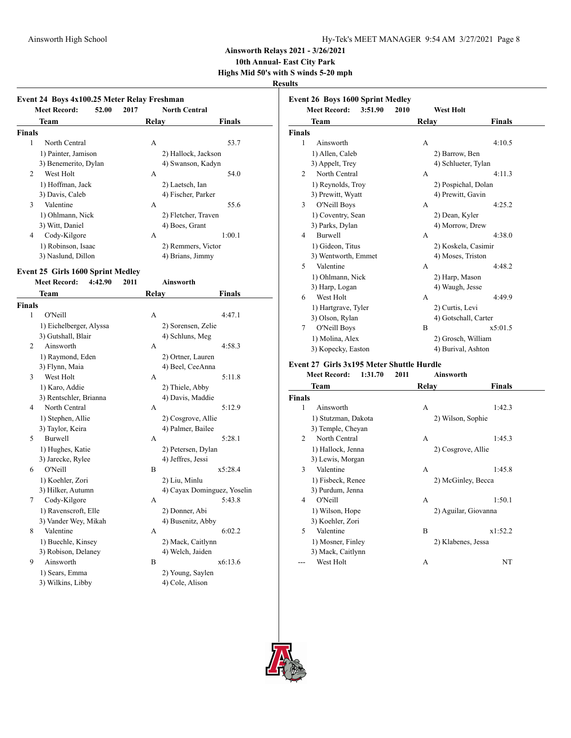**10th Annual- East City Park**

**Highs Mid 50's with S winds 5-20 mph**

# **Results**

|               | Event 24 Boys 4x100.25 Meter Relay Freshman |         |       |                             |         |
|---------------|---------------------------------------------|---------|-------|-----------------------------|---------|
|               | <b>Meet Record:</b>                         | 52.00   | 2017  | <b>North Central</b>        |         |
|               | Team                                        |         | Relay |                             | Finals  |
| <b>Finals</b> |                                             |         |       |                             |         |
| 1             | North Central                               |         | А     |                             | 53.7    |
|               | 1) Painter, Jamison                         |         |       | 2) Hallock, Jackson         |         |
|               | 3) Benemerito, Dylan                        |         |       | 4) Swanson, Kadyn           |         |
| 2             | West Holt                                   |         | A     |                             | 54.0    |
|               | 1) Hoffman, Jack                            |         |       | 2) Laetsch, Ian             |         |
|               | 3) Davis, Caleb                             |         |       | 4) Fischer, Parker          |         |
| 3             | Valentine                                   |         | A     |                             | 55.6    |
|               | 1) Ohlmann, Nick                            |         |       | 2) Fletcher, Traven         |         |
|               | 3) Witt, Daniel                             |         |       | 4) Boes, Grant              |         |
| 4             | Cody-Kilgore                                |         | A     |                             | 1:00.1  |
|               | 1) Robinson, Isaac                          |         |       | 2) Remmers, Victor          |         |
|               | 3) Naslund, Dillon                          |         |       | 4) Brians, Jimmy            |         |
|               | <b>Event 25 Girls 1600 Sprint Medley</b>    |         |       |                             |         |
|               | <b>Meet Record:</b>                         | 4:42.90 | 2011  | <b>Ainsworth</b>            |         |
|               | Team                                        |         | Relay |                             | Finals  |
| <b>Finals</b> |                                             |         |       |                             |         |
| 1             | O'Neill                                     |         | A     |                             | 4:47.1  |
|               | 1) Eichelberger, Alyssa                     |         |       | 2) Sorensen, Zelie          |         |
|               | 3) Gutshall, Blair                          |         |       | 4) Schluns, Meg             |         |
| 2             | Ainsworth                                   |         | А     |                             | 4:58.3  |
|               | 1) Raymond, Eden                            |         |       | 2) Ortner, Lauren           |         |
|               | 3) Flynn, Maia                              |         |       | 4) Beel, CeeAnna            |         |
| 3             | West Holt                                   |         | А     |                             | 5:11.8  |
|               | 1) Karo, Addie                              |         |       | 2) Thiele, Abby             |         |
|               | 3) Rentschler, Brianna                      |         |       | 4) Davis, Maddie            |         |
| 4             | North Central                               |         | А     |                             | 5:12.9  |
|               | 1) Stephen, Allie                           |         |       | 2) Cosgrove, Allie          |         |
|               | 3) Taylor, Keira                            |         |       | 4) Palmer, Bailee           |         |
| 5             | <b>Burwell</b>                              |         | A     |                             | 5:28.1  |
|               | 1) Hughes, Katie                            |         |       | 2) Petersen, Dylan          |         |
|               | 3) Jarecke, Rylee                           |         |       | 4) Jeffres, Jessi           |         |
| 6             | O'Neill                                     |         | B     |                             | x5:28.4 |
|               | 1) Koehler, Zori                            |         |       | 2) Liu, Minlu               |         |
|               | 3) Hilker, Autumn                           |         |       | 4) Cayax Dominguez, Yoselin |         |
| 7             | Cody-Kilgore                                |         | А     |                             | 5:43.8  |
|               | 1) Ravenscroft, Elle                        |         |       | 2) Donner, Abi              |         |
|               | 3) Vander Wey, Mikah                        |         |       | 4) Busenitz, Abby           |         |

| 8 | Valentine           |                   | 6:02.2 |
|---|---------------------|-------------------|--------|
|   | 1) Buechle, Kinsey  | 2) Mack, Caitlynn |        |
|   | 3) Robison, Delaney | 4) Welch, Jaiden  |        |

- 9 Ainsworth B x6:13.6 1) Sears, Emma 2) Young, Saylen
	- 3) Wilkins, Libby 4) Cole, Alison

| <b>Meet Record:</b><br>3:51.90<br>2010<br><b>West Holt</b> |                     |       |                      |               |
|------------------------------------------------------------|---------------------|-------|----------------------|---------------|
|                                                            | Team                | Relay |                      | <b>Finals</b> |
| <b>Finals</b>                                              |                     |       |                      |               |
| 1                                                          | Ainsworth           | А     |                      | 4:10.5        |
|                                                            | 1) Allen, Caleb     |       | 2) Barrow, Ben       |               |
|                                                            | 3) Appelt, Trey     |       | 4) Schlueter, Tylan  |               |
| 2                                                          | North Central       | A     |                      | 4:11.3        |
|                                                            | 1) Reynolds, Troy   |       | 2) Pospichal, Dolan  |               |
|                                                            | 3) Prewitt, Wyatt   |       | 4) Prewitt, Gavin    |               |
| 3                                                          | O'Neill Boys        | A     |                      | 4:25.2        |
|                                                            | 1) Coventry, Sean   |       | 2) Dean, Kyler       |               |
|                                                            | 3) Parks, Dylan     |       | 4) Morrow, Drew      |               |
| 4                                                          | <b>Burwell</b>      | A     |                      | 4:38.0        |
|                                                            | 1) Gideon, Titus    |       | 2) Koskela, Casimir  |               |
|                                                            | 3) Wentworth, Emmet |       | 4) Moses, Triston    |               |
| 5                                                          | Valentine           | A     |                      | 4:48.2        |
|                                                            | 1) Ohlmann, Nick    |       | 2) Harp, Mason       |               |
|                                                            | 3) Harp, Logan      |       | 4) Waugh, Jesse      |               |
| 6                                                          | West Holt           | A     |                      | 4:49.9        |
|                                                            | 1) Hartgrave, Tyler |       | 2) Curtis, Levi      |               |
|                                                            | 3) Olson, Rylan     |       | 4) Gotschall, Carter |               |
| 7                                                          | O'Neill Boys        | B     |                      | x5:01.5       |
|                                                            | 1) Molina, Alex     |       | 2) Grosch, William   |               |
|                                                            | 3) Kopecky, Easton  |       | 4) Burival, Ashton   |               |

#### **Event 27 Girls 3x195 Meter Shuttle Hurdle**

**Meet Record: 1:31.70 2011 Ainsworth**

|                | Team                | Relay | <b>Finals</b>        |
|----------------|---------------------|-------|----------------------|
| <b>Finals</b>  |                     |       |                      |
| 1              | Ainsworth           | А     | 1:42.3               |
|                | 1) Stutzman, Dakota |       | 2) Wilson, Sophie    |
|                | 3) Temple, Cheyan   |       |                      |
| $\mathfrak{D}$ | North Central       | A     | 1:45.3               |
|                | 1) Hallock, Jenna   |       | 2) Cosgrove, Allie   |
|                | 3) Lewis, Morgan    |       |                      |
| 3              | Valentine           | А     | 1:45.8               |
|                | 1) Fisbeck, Renee   |       | 2) McGinley, Becca   |
|                | 3) Purdum, Jenna    |       |                      |
| 4              | O'Neill             | А     | 1:50.1               |
|                | 1) Wilson, Hope     |       | 2) Aguilar, Giovanna |
|                | 3) Koehler, Zori    |       |                      |
| 5              | Valentine           | B     | x1:52.2              |
|                | 1) Mosner, Finley   |       | 2) Klabenes, Jessa   |
|                | 3) Mack, Caitlynn   |       |                      |
|                | West Holt           | А     | NT                   |